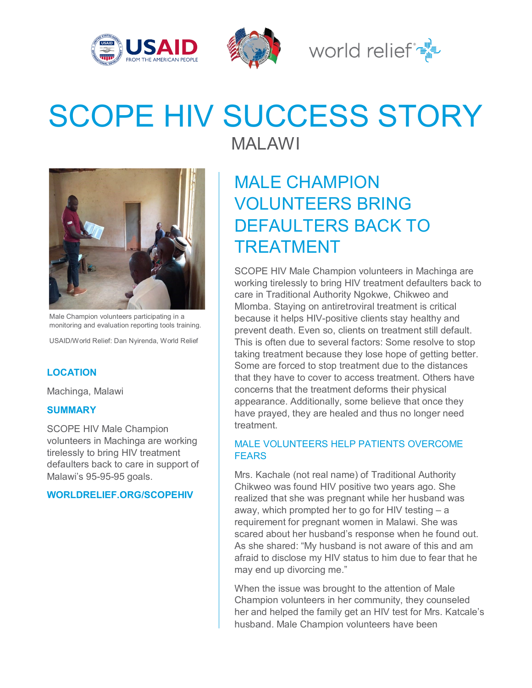





# SCOPE HIV SUCCESS STORY



Male Champion volunteers participating in a monitoring and evaluation reporting tools training.

USAID/World Relief: Dan Nyirenda, World Relief

### **LOCATION**

Machinga, Malawi

#### **SUMMARY**

SCOPE HIV Male Champion volunteers in Machinga are working tirelessly to bring HIV treatment defaulters back to care in support of Malawi's 95-95-95 goals.

**WORLDRELIEF.ORG/SCOPEHIV**

MALAWI

## MALE CHAMPION VOLUNTEERS BRING DEFAULTERS BACK TO TREATMENT

SCOPE HIV Male Champion volunteers in Machinga are working tirelessly to bring HIV treatment defaulters back to care in Traditional Authority Ngokwe, Chikweo and Mlomba. Staying on antiretroviral treatment is critical because it helps HIV-positive clients stay healthy and prevent death. Even so, clients on treatment still default. This is often due to several factors: Some resolve to stop taking treatment because they lose hope of getting better. Some are forced to stop treatment due to the distances that they have to cover to access treatment. Others have concerns that the treatment deforms their physical appearance. Additionally, some believe that once they have prayed, they are healed and thus no longer need treatment.

### MALE VOLUNTEERS HELP PATIENTS OVERCOME **FFARS**

Mrs. Kachale (not real name) of Traditional Authority Chikweo was found HIV positive two years ago. She realized that she was pregnant while her husband was away, which prompted her to go for HIV testing – a requirement for pregnant women in Malawi. She was scared about her husband's response when he found out. As she shared: "My husband is not aware of this and am afraid to disclose my HIV status to him due to fear that he may end up divorcing me."

When the issue was brought to the attention of Male Champion volunteers in her community, they counseled her and helped the family get an HIV test for Mrs. Katcale's husband. Male Champion volunteers have been